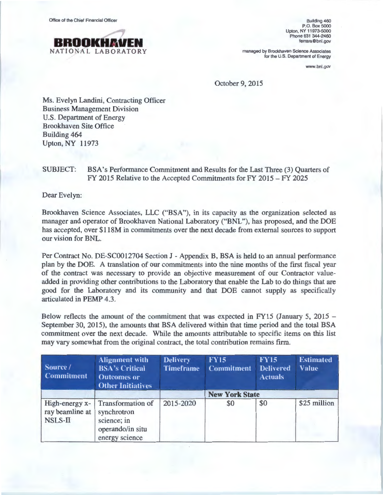Office of the Chief Financial Officer



Building 460 P.O. Box 5000 Upton, NY 11973-5000 Phone 631 344-2460 ferrara@bnl.gov

managed by Brookhaven Science Associates for the U.S. Department of Energy

www.bnl.gov

October 9, 2015

Ms. Evelyn Landini, Contracting Officer Business Management Division U.S. Department of Energy Brookhaven Site Office Building 464 Upton, NY 11973

## SUBJECT: BSA's Performance Commitment and Results for the Last Three (3) Quarters of FY 2015 Relative to the Accepted Commitments for FY 2015 - FY 2025

Dear Evelyn:

Brookhaven Science Associates, LLC ("BSA"), in its capacity as the organization selected as manager and operator of Brookhaven National Laboratory ("BNL"), has proposed, and the DOE has accepted, over \$118M in commitments over the next decade from external sources to support our vision for BNL.

Per Contract No. DE-SC0012704 Section J - Appendix B, BSA is held to an annual performance plan by the DOE. A translation of our commitments into the nine months of the frrst fiscal year of the contract was necessary to provide an objective measurement of our Contractor valueadded in providing other contributions to the Laboratory that enable the Lab to do things that are good for the Laboratory and its community and that DOE cannot supply as specifically articulated in PEMP 4.3.

Below reflects the amount of the commitment that was expected in FY15 (January 5, 2015 -September 30, 2015), the amounts that BSA delivered within that time period and the total BSA commitment over the next decade. While the amounts attributable to specific items on this list may vary somewhat from the original contract, the total contribution remains firm.

| Source /<br><b>Commitment</b>                | <b>Alignment with</b><br><b>BSA's Critical</b><br><b>Outcomes or</b><br><b>Other Initiatives</b> | <b>Delivery</b><br><b>Timeframe</b> | <b>FY15</b><br><b>Commitment</b> | <b>FY15</b><br><b>Delivered</b><br><b>Actuals</b> | <b>Estimated</b><br><b>Value</b> |
|----------------------------------------------|--------------------------------------------------------------------------------------------------|-------------------------------------|----------------------------------|---------------------------------------------------|----------------------------------|
|                                              |                                                                                                  |                                     | <b>New York State</b>            |                                                   |                                  |
| High-energy x-<br>ray beamline at<br>NSLS-II | <b>Transformation of</b><br>synchrotron<br>science; in<br>operando/in situ<br>energy science     | 2015-2020                           | \$0                              | \$0                                               | \$25 million                     |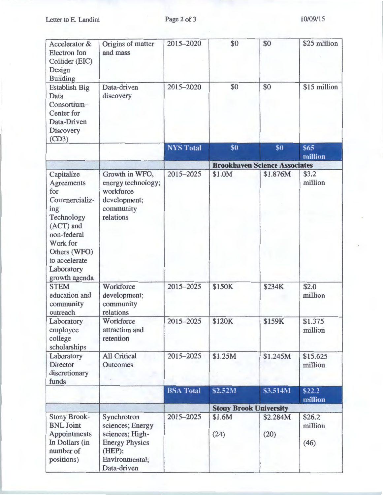| Accelerator &<br><b>Electron</b> Ion<br>Collider (EIC)<br>Design<br><b>Building</b>                                                                                           | Origins of matter<br>and mass                                                                           | 2015-2020        | \$0                           | \$0                                  | \$25 million        |
|-------------------------------------------------------------------------------------------------------------------------------------------------------------------------------|---------------------------------------------------------------------------------------------------------|------------------|-------------------------------|--------------------------------------|---------------------|
| <b>Establish Big</b><br>Data<br>Consortium-<br>Center for<br>Data-Driven<br>Discovery<br>(CD3)                                                                                | Data-driven<br>discovery                                                                                | 2015-2020        | \$0                           | \$0                                  | \$15 million        |
|                                                                                                                                                                               |                                                                                                         | <b>NYS Total</b> | \$0                           | \$0                                  | \$65                |
|                                                                                                                                                                               |                                                                                                         |                  |                               | <b>Brookhaven Science Associates</b> | million             |
|                                                                                                                                                                               |                                                                                                         |                  |                               |                                      |                     |
| Capitalize<br>Agreements<br>for<br>Commercializ-<br>ing<br>Technology<br>(ACT) and<br>non-federal<br>Work for<br>Others (WFO)<br>to accelerate<br>Laboratory<br>growth agenda | Growth in WFO,<br>energy technology;<br>workforce<br>development;<br>community<br>relations             | 2015-2025        | \$1.0M                        | \$1.876M                             | \$3.2<br>million    |
| <b>STEM</b>                                                                                                                                                                   | Workforce                                                                                               | 2015-2025        | \$150K                        | \$234K                               | \$2.0               |
| education and<br>community<br>outreach                                                                                                                                        | development;<br>community<br>relations                                                                  |                  |                               |                                      | million             |
| Laboratory                                                                                                                                                                    | Workforce                                                                                               | 2015-2025        | \$120K                        | \$159K                               | \$1.375             |
| employee<br>college<br>scholarships                                                                                                                                           | attraction and<br>retention                                                                             |                  |                               |                                      | million             |
| Laboratory<br>Director<br>discretionary<br>funds                                                                                                                              | <b>All Critical</b><br>Outcomes                                                                         | 2015-2025        | \$1.25M                       | \$1.245M                             | \$15.625<br>million |
|                                                                                                                                                                               |                                                                                                         | <b>BSA Total</b> | \$2.52M                       | \$3.514M                             | \$22.2\$            |
|                                                                                                                                                                               |                                                                                                         |                  | <b>Stony Brook University</b> |                                      | million             |
| <b>Stony Brook-</b>                                                                                                                                                           | Synchrotron                                                                                             | 2015-2025        | \$1.6M                        | \$2.284M                             | \$26.2              |
| <b>BNL</b> Joint<br>Appointments<br>In Dollars (in<br>number of<br>positions)                                                                                                 | sciences; Energy<br>sciences; High-<br><b>Energy Physics</b><br>(HEP);<br>Environmental;<br>Data-driven |                  | (24)                          | (20)                                 | million<br>(46)     |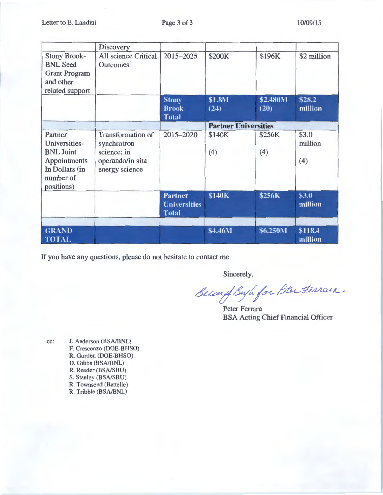Letter to E. Landini Page 3 of 3 10/09/15

|                                                                                                           | Discovery                                                                                    |                                                       |                             |                  |                         |
|-----------------------------------------------------------------------------------------------------------|----------------------------------------------------------------------------------------------|-------------------------------------------------------|-----------------------------|------------------|-------------------------|
| <b>Stony Brook-</b><br><b>BNL Seed</b><br><b>Grant Program</b><br>and other<br>related support            | <b>All science Critical</b><br><b>Outcomes</b>                                               | 2015-2025                                             | \$200K                      | \$196K           | \$2 million             |
|                                                                                                           |                                                                                              | <b>Stony</b><br><b>Brook</b><br><b>Total</b>          | \$1.8M<br>(24)              | \$2.480M<br>(20) | \$28.2<br>million       |
|                                                                                                           |                                                                                              |                                                       | <b>Partner Universities</b> |                  |                         |
| Partner<br>Universities-<br><b>BNL Joint</b><br>Appointments<br>In Dollars (in<br>number of<br>positions) | <b>Transformation of</b><br>synchrotron<br>science; in<br>operando/in situ<br>energy science | 2015-2020                                             | \$140K<br>(4)               | \$256K<br>(4)    | \$3.0<br>million<br>(4) |
|                                                                                                           |                                                                                              | <b>Partner</b><br><b>Universities</b><br><b>Total</b> | \$140K                      | \$256K           | \$3.0<br>million        |
| <b>GRAND</b><br><b>TOTAL</b>                                                                              |                                                                                              |                                                       | \$4.46M                     | \$6.250M         | \$118.4<br>million      |

If you have any questions, please do not hesitate to contact me.

Sincerely,

 $\beta$ unf Byh for Peter Ferrain

Peter Ferrara BSA Acting Chief Financial Officer

cc: J. Anderson (BSA/BNL) F. Crescenzo (DOE-BHSO) R. Gordon (DOE-BHSO) D. Gibbs (BSA/BNL) R. Reeder (BSA/SBU) S. Stanley (BSA/SBU) R. Townsend (Battelle) R. Tribble (BSA/BNL)